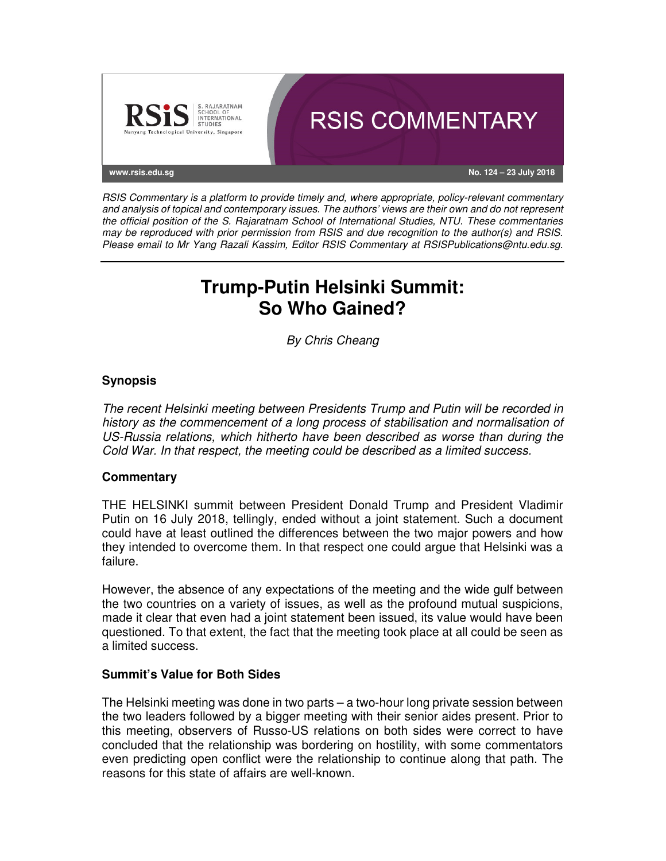

RSIS Commentary is a platform to provide timely and, where appropriate, policy-relevant commentary and analysis of topical and contemporary issues. The authors' views are their own and do not represent the official position of the S. Rajaratnam School of International Studies, NTU. These commentaries may be reproduced with prior permission from RSIS and due recognition to the author(s) and RSIS. Please email to Mr Yang Razali Kassim, Editor RSIS Commentary at RSISPublications@ntu.edu.sg.

# **Trump-Putin Helsinki Summit: So Who Gained?**

By Chris Cheang

## **Synopsis**

The recent Helsinki meeting between Presidents Trump and Putin will be recorded in history as the commencement of a long process of stabilisation and normalisation of US-Russia relations, which hitherto have been described as worse than during the Cold War. In that respect, the meeting could be described as a limited success.

### **Commentary**

THE HELSINKI summit between President Donald Trump and President Vladimir Putin on 16 July 2018, tellingly, ended without a joint statement. Such a document could have at least outlined the differences between the two major powers and how they intended to overcome them. In that respect one could argue that Helsinki was a failure.

However, the absence of any expectations of the meeting and the wide gulf between the two countries on a variety of issues, as well as the profound mutual suspicions, made it clear that even had a joint statement been issued, its value would have been questioned. To that extent, the fact that the meeting took place at all could be seen as a limited success.

### **Summit's Value for Both Sides**

The Helsinki meeting was done in two parts – a two-hour long private session between the two leaders followed by a bigger meeting with their senior aides present. Prior to this meeting, observers of Russo-US relations on both sides were correct to have concluded that the relationship was bordering on hostility, with some commentators even predicting open conflict were the relationship to continue along that path. The reasons for this state of affairs are well-known.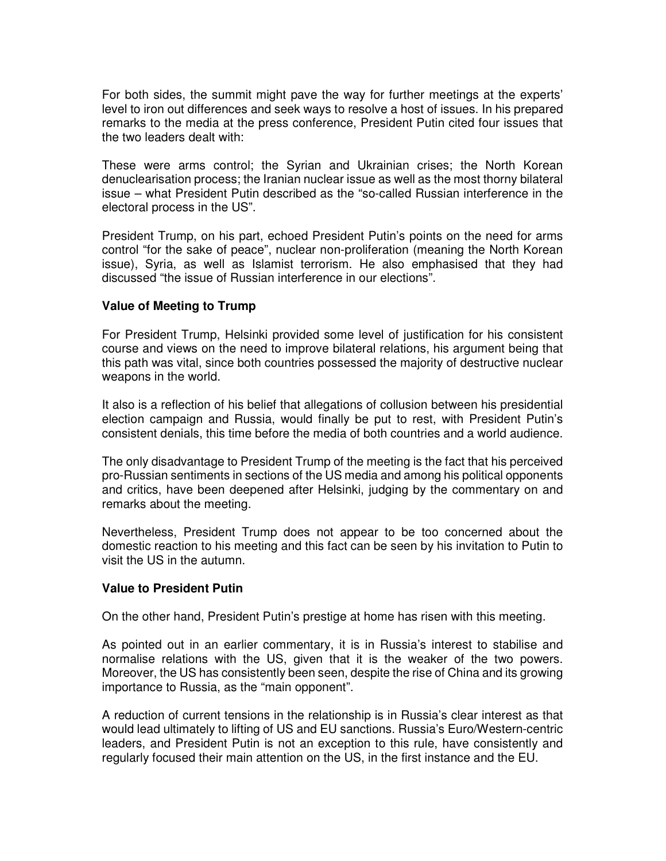For both sides, the summit might pave the way for further meetings at the experts' level to iron out differences and seek ways to resolve a host of issues. In his prepared remarks to the media at the press conference, President Putin cited four issues that the two leaders dealt with:

These were arms control; the Syrian and Ukrainian crises; the North Korean denuclearisation process; the Iranian nuclear issue as well as the most thorny bilateral issue – what President Putin described as the "so-called Russian interference in the electoral process in the US".

President Trump, on his part, echoed President Putin's points on the need for arms control "for the sake of peace", nuclear non-proliferation (meaning the North Korean issue), Syria, as well as Islamist terrorism. He also emphasised that they had discussed "the issue of Russian interference in our elections".

### **Value of Meeting to Trump**

For President Trump, Helsinki provided some level of justification for his consistent course and views on the need to improve bilateral relations, his argument being that this path was vital, since both countries possessed the majority of destructive nuclear weapons in the world.

It also is a reflection of his belief that allegations of collusion between his presidential election campaign and Russia, would finally be put to rest, with President Putin's consistent denials, this time before the media of both countries and a world audience.

The only disadvantage to President Trump of the meeting is the fact that his perceived pro-Russian sentiments in sections of the US media and among his political opponents and critics, have been deepened after Helsinki, judging by the commentary on and remarks about the meeting.

Nevertheless, President Trump does not appear to be too concerned about the domestic reaction to his meeting and this fact can be seen by his invitation to Putin to visit the US in the autumn.

### **Value to President Putin**

On the other hand, President Putin's prestige at home has risen with this meeting.

As pointed out in an earlier commentary, it is in Russia's interest to stabilise and normalise relations with the US, given that it is the weaker of the two powers. Moreover, the US has consistently been seen, despite the rise of China and its growing importance to Russia, as the "main opponent".

A reduction of current tensions in the relationship is in Russia's clear interest as that would lead ultimately to lifting of US and EU sanctions. Russia's Euro/Western-centric leaders, and President Putin is not an exception to this rule, have consistently and regularly focused their main attention on the US, in the first instance and the EU.